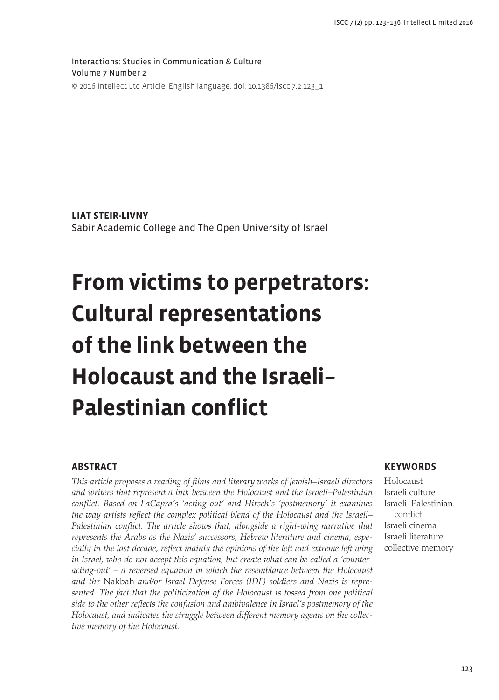Interactions: Studies in Communication & Culture Volume 7 Number 2 © 2016 Intellect Ltd Article. English language. doi: 10.1386/iscc.7.2.123\_1

**LIAT STEIR-LIVNY** Sabir Academic College and The Open University of Israel

# **From victims to perpetrators: Cultural representations of the link between the Holocaust and the Israeli– Palestinian conflict**

# **ABSTRACT**

*This article proposes a reading of films and literary works of Jewish–Israeli directors and writers that represent a link between the Holocaust and the Israeli–Palestinian conflict. Based on LaCapra's 'acting out' and Hirsch's 'postmemory' it examines the way artists reflect the complex political blend of the Holocaust and the Israeli– Palestinian conflict. The article shows that, alongside a right-wing narrative that represents the Arabs as the Nazis' successors, Hebrew literature and cinema, especially in the last decade, reflect mainly the opinions of the left and extreme left wing in Israel, who do not accept this equation, but create what can be called a 'counteracting-out' – a reversed equation in which the resemblance between the Holocaust and the* Nakbah *and/or Israel Defense Forces (IDF) soldiers and Nazis is repre*sented. The fact that the politicization of the Holocaust is tossed from one political *side to the other reflects the confusion and ambivalence in Israel's postmemory of the Holocaust, and indicates the struggle between different memory agents on the collective memory of the Holocaust.*

# **KEYWORDS**

**Holocaust** Israeli culture Israeli–Palestinian conflict Israeli cinema Israeli literature collective memory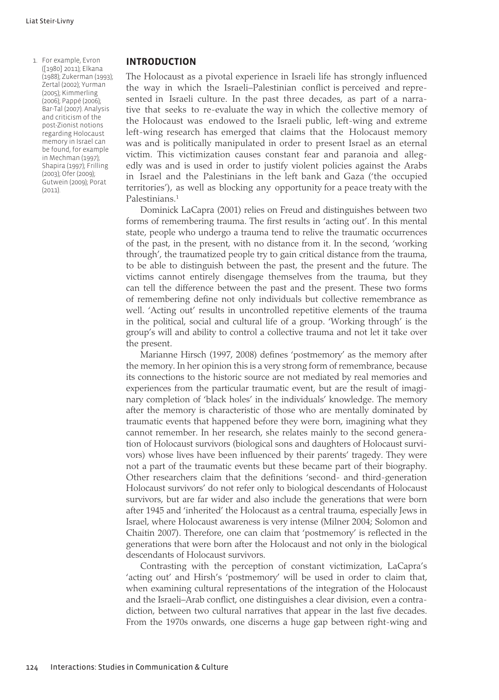1. For example, Evron ([1980] 2011); Elkana (1988); Zukerman (1993); Zertal (2002); Yurman (2005); Kimmerling (2006); Pappé (2006); Bar-Tal (2007). Analysis and criticism of the post-Zionist notions regarding Holocaust memory in Israel can be found, for example in Mechman (1997); Shapira (1997); Frilling (2003); Ofer (2009); Gutwein (2009); Porat (2011).

# **INTRODUCTION**

The Holocaust as a pivotal experience in Israeli life has strongly influenced the way in which the Israeli–Palestinian conflict is perceived and represented in Israeli culture. In the past three decades, as part of a narrative that seeks to re-evaluate the way in which the collective memory of the Holocaust was endowed to the Israeli public, left-wing and extreme left-wing research has emerged that claims that the Holocaust memory was and is politically manipulated in order to present Israel as an eternal victim. This victimization causes constant fear and paranoia and allegedly was and is used in order to justify violent policies against the Arabs in Israel and the Palestinians in the left bank and Gaza ('the occupied territories'), as well as blocking any opportunity for a peace treaty with the Palestinians.1

Dominick LaCapra (2001) relies on Freud and distinguishes between two forms of remembering trauma. The first results in 'acting out'. In this mental state, people who undergo a trauma tend to relive the traumatic occurrences of the past, in the present, with no distance from it. In the second, 'working through', the traumatized people try to gain critical distance from the trauma, to be able to distinguish between the past, the present and the future. The victims cannot entirely disengage themselves from the trauma, but they can tell the difference between the past and the present. These two forms of remembering define not only individuals but collective remembrance as well. 'Acting out' results in uncontrolled repetitive elements of the trauma in the political, social and cultural life of a group. 'Working through' is the group's will and ability to control a collective trauma and not let it take over the present.

Marianne Hirsch (1997, 2008) defines 'postmemory' as the memory after the memory. In her opinion this is a very strong form of remembrance, because its connections to the historic source are not mediated by real memories and experiences from the particular traumatic event, but are the result of imaginary completion of 'black holes' in the individuals' knowledge. The memory after the memory is characteristic of those who are mentally dominated by traumatic events that happened before they were born, imagining what they cannot remember. In her research, she relates mainly to the second generation of Holocaust survivors (biological sons and daughters of Holocaust survivors) whose lives have been influenced by their parents' tragedy. They were not a part of the traumatic events but these became part of their biography. Other researchers claim that the definitions 'second- and third-generation Holocaust survivors' do not refer only to biological descendants of Holocaust survivors, but are far wider and also include the generations that were born after 1945 and 'inherited' the Holocaust as a central trauma, especially Jews in Israel, where Holocaust awareness is very intense (Milner 2004; Solomon and Chaitin 2007). Therefore, one can claim that 'postmemory' is reflected in the generations that were born after the Holocaust and not only in the biological descendants of Holocaust survivors.

Contrasting with the perception of constant victimization, LaCapra's 'acting out' and Hirsh's 'postmemory' will be used in order to claim that, when examining cultural representations of the integration of the Holocaust and the Israeli–Arab conflict, one distinguishes a clear division, even a contradiction, between two cultural narratives that appear in the last five decades. From the 1970s onwards, one discerns a huge gap between right-wing and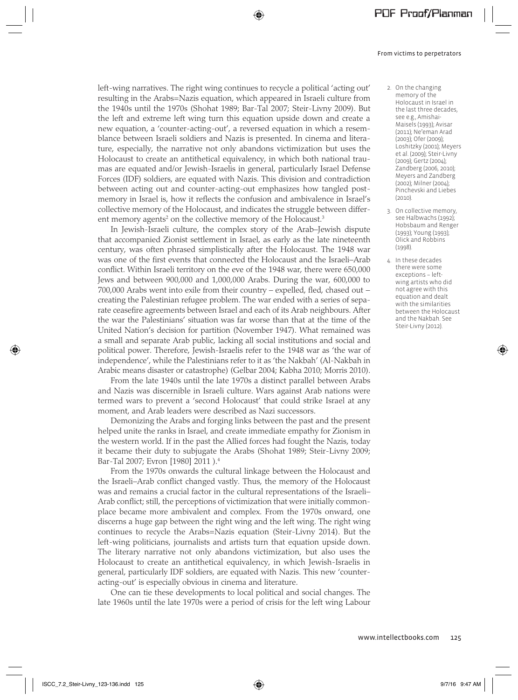left-wing narratives. The right wing continues to recycle a political 'acting out' resulting in the Arabs=Nazis equation, which appeared in Israeli culture from the 1940s until the 1970s (Shohat 1989; Bar-Tal 2007; Steir-Livny 2009). But the left and extreme left wing turn this equation upside down and create a new equation, a 'counter-acting-out', a reversed equation in which a resemblance between Israeli soldiers and Nazis is presented. In cinema and literature, especially, the narrative not only abandons victimization but uses the Holocaust to create an antithetical equivalency, in which both national traumas are equated and/or Jewish-Israelis in general, particularly Israel Defense Forces (IDF) soldiers, are equated with Nazis. This division and contradiction between acting out and counter-acting-out emphasizes how tangled postmemory in Israel is, how it reflects the confusion and ambivalence in Israel's collective memory of the Holocaust, and indicates the struggle between different memory agents<sup>2</sup> on the collective memory of the Holocaust.<sup>3</sup>

⊕

In Jewish-Israeli culture, the complex story of the Arab–Jewish dispute that accompanied Zionist settlement in Israel, as early as the late nineteenth century, was often phrased simplistically after the Holocaust. The 1948 war was one of the first events that connected the Holocaust and the Israeli–Arab conflict. Within Israeli territory on the eve of the 1948 war, there were 650,000 Jews and between 900,000 and 1,000,000 Arabs. During the war, 600,000 to 700,000 Arabs went into exile from their country – expelled, fled, chased out − creating the Palestinian refugee problem. The war ended with a series of separate ceasefire agreements between Israel and each of its Arab neighbours. After the war the Palestinians' situation was far worse than that at the time of the United Nation's decision for partition (November 1947). What remained was a small and separate Arab public, lacking all social institutions and social and political power. Therefore, Jewish-Israelis refer to the 1948 war as 'the war of independence', while the Palestinians refer to it as 'the Nakbah' (Al-Nakbah in Arabic means disaster or catastrophe) (Gelbar 2004; Kabha 2010; Morris 2010).

From the late 1940s until the late 1970s a distinct parallel between Arabs and Nazis was discernible in Israeli culture. Wars against Arab nations were termed wars to prevent a 'second Holocaust' that could strike Israel at any moment, and Arab leaders were described as Nazi successors.

Demonizing the Arabs and forging links between the past and the present helped unite the ranks in Israel, and create immediate empathy for Zionism in the western world. If in the past the Allied forces had fought the Nazis, today it became their duty to subjugate the Arabs (Shohat 1989; Steir-Livny 2009; Bar-Tal 2007; Evron [1980] 2011 ).4

From the 1970s onwards the cultural linkage between the Holocaust and the Israeli–Arab conflict changed vastly. Thus, the memory of the Holocaust was and remains a crucial factor in the cultural representations of the Israeli– Arab conflict; still, the perceptions of victimization that were initially commonplace became more ambivalent and complex. From the 1970s onward, one discerns a huge gap between the right wing and the left wing. The right wing continues to recycle the Arabs=Nazis equation (Steir-Livny 2014). But the left-wing politicians, journalists and artists turn that equation upside down. The literary narrative not only abandons victimization, but also uses the Holocaust to create an antithetical equivalency, in which Jewish-Israelis in general, particularly IDF soldiers, are equated with Nazis. This new 'counteracting-out' is especially obvious in cinema and literature.

One can tie these developments to local political and social changes. The late 1960s until the late 1970s were a period of crisis for the left wing Labour

- 2. On the changing memory of the Holocaust in Israel in the last three decades, see e.g., Amishai-Maisels (1993); Avisar (2011); Ne'eman Arad (2003); Ofer (2009); Loshitzky (2001); Meyers et al. (2009); Steir-Livny (2009); Gertz (2004); Zandberg (2006, 2010); Meyers and Zandberg (2002); Milner (2004); Pinchevski and Liebes (2010).
- 3. On collective memory, see Halbwachs (1992); Hobsbaum and Renger (1993); Young (1993); Olick and Robbins (1998).
- 4. In these decades there were some exceptions – leftwing artists who did not agree with this equation and dealt with the similarities between the Holocaust and the Nakbah. See Steir-Livny (2012).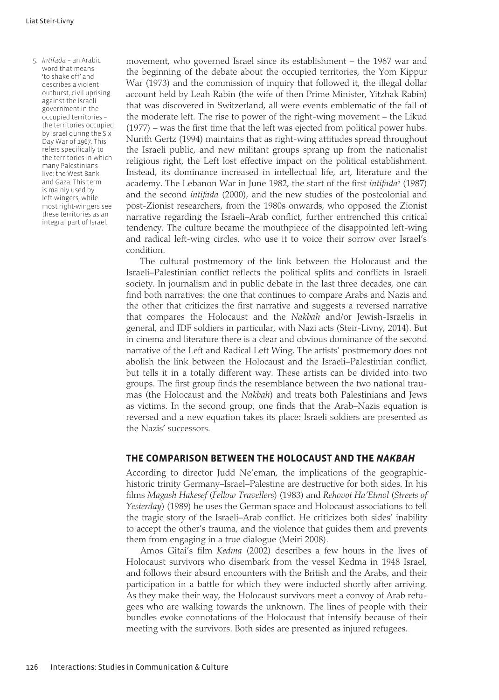5. *Intifada* – an Arabic word that means 'to shake off' and describes a violent outburst, civil uprising against the Israeli government in the occupied territories – the territories occupied by Israel during the Six Day War of 1967. This refers specifically to the territories in which many Palestinians live: the West Bank and Gaza. This term is mainly used by left-wingers, while most right-wingers see these territories as an integral part of Israel.

movement, who governed Israel since its establishment – the 1967 war and the beginning of the debate about the occupied territories, the Yom Kippur War (1973) and the commission of inquiry that followed it, the illegal dollar account held by Leah Rabin (the wife of then Prime Minister, Yitzhak Rabin) that was discovered in Switzerland, all were events emblematic of the fall of the moderate left. The rise to power of the right-wing movement – the Likud (1977) – was the first time that the left was ejected from political power hubs. Nurith Gertz (1994) maintains that as right-wing attitudes spread throughout the Israeli public, and new militant groups sprang up from the nationalist religious right, the Left lost effective impact on the political establishment. Instead, its dominance increased in intellectual life, art, literature and the academy. The Lebanon War in June 1982, the start of the first *intifada*<sup>5</sup> (1987) and the second *intifada* (2000), and the new studies of the postcolonial and post-Zionist researchers, from the 1980s onwards, who opposed the Zionist narrative regarding the Israeli–Arab conflict, further entrenched this critical tendency. The culture became the mouthpiece of the disappointed left-wing and radical left-wing circles, who use it to voice their sorrow over Israel's condition.

The cultural postmemory of the link between the Holocaust and the Israeli–Palestinian conflict reflects the political splits and conflicts in Israeli society. In journalism and in public debate in the last three decades, one can find both narratives: the one that continues to compare Arabs and Nazis and the other that criticizes the first narrative and suggests a reversed narrative that compares the Holocaust and the *Nakbah* and/or Jewish-Israelis in general, and IDF soldiers in particular, with Nazi acts (Steir-Livny, 2014). But in cinema and literature there is a clear and obvious dominance of the second narrative of the Left and Radical Left Wing. The artists' postmemory does not abolish the link between the Holocaust and the Israeli–Palestinian conflict, but tells it in a totally different way. These artists can be divided into two groups. The first group finds the resemblance between the two national traumas (the Holocaust and the *Nakbah*) and treats both Palestinians and Jews as victims. In the second group, one finds that the Arab–Nazis equation is reversed and a new equation takes its place: Israeli soldiers are presented as the Nazis' successors.

## **THE COMPARISON BETWEEN THE HOLOCAUST AND THE** *NAKBAH*

According to director Judd Ne'eman, the implications of the geographichistoric trinity Germany–Israel–Palestine are destructive for both sides. In his films *Magash Hakesef* (*Fellow Travellers*) (1983) and *Rehovot Ha'Etmol* (*Streets of Yesterday*) (1989) he uses the German space and Holocaust associations to tell the tragic story of the Israeli–Arab conflict. He criticizes both sides' inability to accept the other's trauma, and the violence that guides them and prevents them from engaging in a true dialogue (Meiri 2008).

Amos Gitai's film *Kedma* (2002) describes a few hours in the lives of Holocaust survivors who disembark from the vessel Kedma in 1948 Israel, and follows their absurd encounters with the British and the Arabs, and their participation in a battle for which they were inducted shortly after arriving. As they make their way, the Holocaust survivors meet a convoy of Arab refugees who are walking towards the unknown. The lines of people with their bundles evoke connotations of the Holocaust that intensify because of their meeting with the survivors. Both sides are presented as injured refugees.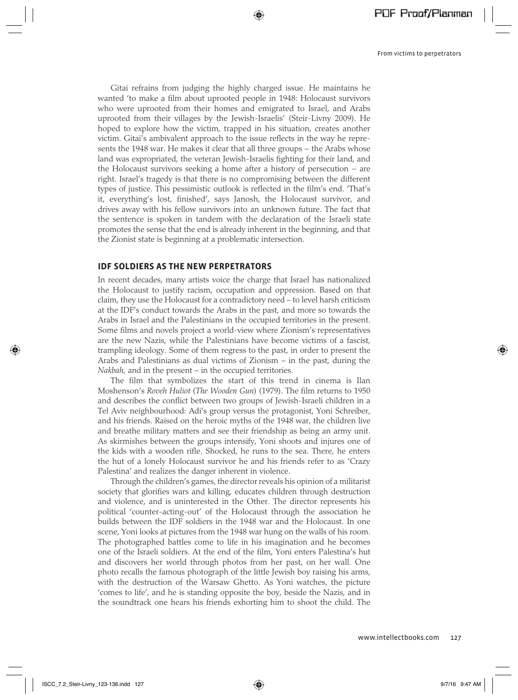Gitai refrains from judging the highly charged issue. He maintains he wanted 'to make a film about uprooted people in 1948: Holocaust survivors who were uprooted from their homes and emigrated to Israel, and Arabs uprooted from their villages by the Jewish-Israelis' (Steir-Livny 2009). He hoped to explore how the victim, trapped in his situation, creates another victim. Gitai's ambivalent approach to the issue reflects in the way he represents the 1948 war. He makes it clear that all three groups – the Arabs whose land was expropriated, the veteran Jewish-Israelis fighting for their land, and the Holocaust survivors seeking a home after a history of persecution − are right. Israel's tragedy is that there is no compromising between the different types of justice. This pessimistic outlook is reflected in the film's end. 'That's it, everything's lost, finished', says Janosh, the Holocaust survivor, and drives away with his fellow survivors into an unknown future. The fact that the sentence is spoken in tandem with the declaration of the Israeli state promotes the sense that the end is already inherent in the beginning, and that the Zionist state is beginning at a problematic intersection.

⊕

## **IDF SOLDIERS AS THE NEW PERPETRATORS**

In recent decades, many artists voice the charge that Israel has nationalized the Holocaust to justify racism, occupation and oppression. Based on that claim, they use the Holocaust for a contradictory need – to level harsh criticism at the IDF's conduct towards the Arabs in the past, and more so towards the Arabs in Israel and the Palestinians in the occupied territories in the present. Some films and novels project a world-view where Zionism's representatives are the new Nazis, while the Palestinians have become victims of a fascist, trampling ideology. Some of them regress to the past, in order to present the Arabs and Palestinians as dual victims of Zionism – in the past, during the *Nakbah*, and in the present – in the occupied territories.

The film that symbolizes the start of this trend in cinema is Ilan Moshenson's *Roveh Huliot* (*The Wooden Gun*) (1979). The film returns to 1950 and describes the conflict between two groups of Jewish-Israeli children in a Tel Aviv neighbourhood: Adi's group versus the protagonist, Yoni Schreiber, and his friends. Raised on the heroic myths of the 1948 war, the children live and breathe military matters and see their friendship as being an army unit. As skirmishes between the groups intensify, Yoni shoots and injures one of the kids with a wooden rifle. Shocked, he runs to the sea. There, he enters the hut of a lonely Holocaust survivor he and his friends refer to as 'Crazy Palestina' and realizes the danger inherent in violence.

Through the children's games, the director reveals his opinion of a militarist society that glorifies wars and killing, educates children through destruction and violence, and is uninterested in the Other. The director represents his political 'counter-acting-out' of the Holocaust through the association he builds between the IDF soldiers in the 1948 war and the Holocaust. In one scene, Yoni looks at pictures from the 1948 war hung on the walls of his room. The photographed battles come to life in his imagination and he becomes one of the Israeli soldiers. At the end of the film, Yoni enters Palestina's hut and discovers her world through photos from her past, on her wall. One photo recalls the famous photograph of the little Jewish boy raising his arms, with the destruction of the Warsaw Ghetto. As Yoni watches, the picture 'comes to life', and he is standing opposite the boy, beside the Nazis, and in the soundtrack one hears his friends exhorting him to shoot the child. The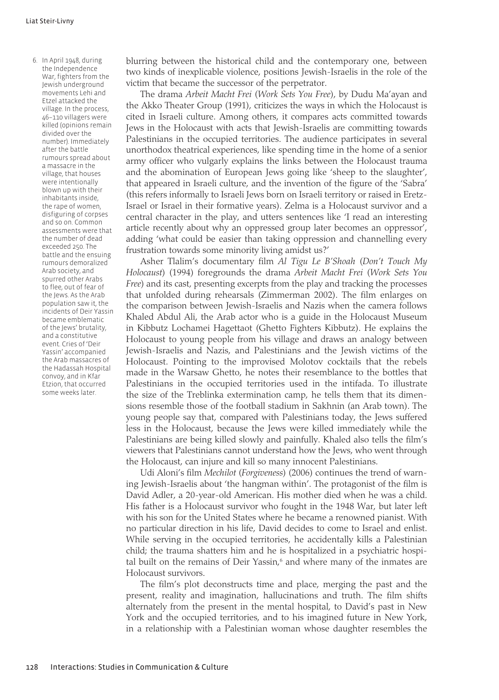6. In April 1948, during the Independence War, fighters from the Jewish underground movements Lehi and Etzel attacked the village. In the process, 46–110 villagers were killed (opinions remain divided over the number). Immediately after the battle rumours spread about a massacre in the village, that houses were intentionally blown up with their inhabitants inside, the rape of women, disfiguring of corpses and so on. Common assessments were that the number of dead exceeded 250. The battle and the ensuing rumours demoralized Arab society, and spurred other Arabs to flee, out of fear of the Jews. As the Arab population saw it, the incidents of Deir Yassin became emblematic of the Jews' brutality, and a constitutive event. Cries of 'Deir Yassin' accompanied the Arab massacres of the Hadassah Hospital convoy, and in Kfar Etzion, that occurred some weeks later.

blurring between the historical child and the contemporary one, between two kinds of inexplicable violence, positions Jewish-Israelis in the role of the victim that became the successor of the perpetrator.

The drama *Arbeit Macht Frei* (*Work Sets You Free*), by Dudu Ma'ayan and the Akko Theater Group (1991), criticizes the ways in which the Holocaust is cited in Israeli culture. Among others, it compares acts committed towards Jews in the Holocaust with acts that Jewish-Israelis are committing towards Palestinians in the occupied territories. The audience participates in several unorthodox theatrical experiences, like spending time in the home of a senior army officer who vulgarly explains the links between the Holocaust trauma and the abomination of European Jews going like 'sheep to the slaughter', that appeared in Israeli culture, and the invention of the figure of the 'Sabra' (this refers informally to Israeli Jews born on Israeli territory or raised in Eretz-Israel or Israel in their formative years). Zelma is a Holocaust survivor and a central character in the play, and utters sentences like 'I read an interesting article recently about why an oppressed group later becomes an oppressor', adding 'what could be easier than taking oppression and channelling every frustration towards some minority living amidst us?'

Asher Tlalim's documentary film *Al Tigu Le B'Shoah* (*Don't Touch My Holocaust*) (1994) foregrounds the drama *Arbeit Macht Frei* (*Work Sets You Free*) and its cast, presenting excerpts from the play and tracking the processes that unfolded during rehearsals (Zimmerman 2002). The film enlarges on the comparison between Jewish-Israelis and Nazis when the camera follows Khaled Abdul Ali, the Arab actor who is a guide in the Holocaust Museum in Kibbutz Lochamei Hagettaot (Ghetto Fighters Kibbutz). He explains the Holocaust to young people from his village and draws an analogy between Jewish-Israelis and Nazis, and Palestinians and the Jewish victims of the Holocaust. Pointing to the improvised Molotov cocktails that the rebels made in the Warsaw Ghetto, he notes their resemblance to the bottles that Palestinians in the occupied territories used in the intifada. To illustrate the size of the Treblinka extermination camp, he tells them that its dimensions resemble those of the football stadium in Sakhnin (an Arab town). The young people say that, compared with Palestinians today, the Jews suffered less in the Holocaust, because the Jews were killed immediately while the Palestinians are being killed slowly and painfully. Khaled also tells the film's viewers that Palestinians cannot understand how the Jews, who went through the Holocaust, can injure and kill so many innocent Palestinians.

Udi Aloni's film *Mechilot* (*Forgiveness*) (2006) continues the trend of warning Jewish-Israelis about 'the hangman within'. The protagonist of the film is David Adler, a 20-year-old American. His mother died when he was a child. His father is a Holocaust survivor who fought in the 1948 War, but later left with his son for the United States where he became a renowned pianist. With no particular direction in his life, David decides to come to Israel and enlist. While serving in the occupied territories, he accidentally kills a Palestinian child; the trauma shatters him and he is hospitalized in a psychiatric hospital built on the remains of Deir Yassin,<sup>6</sup> and where many of the inmates are Holocaust survivors.

The film's plot deconstructs time and place, merging the past and the present, reality and imagination, hallucinations and truth. The film shifts alternately from the present in the mental hospital, to David's past in New York and the occupied territories, and to his imagined future in New York, in a relationship with a Palestinian woman whose daughter resembles the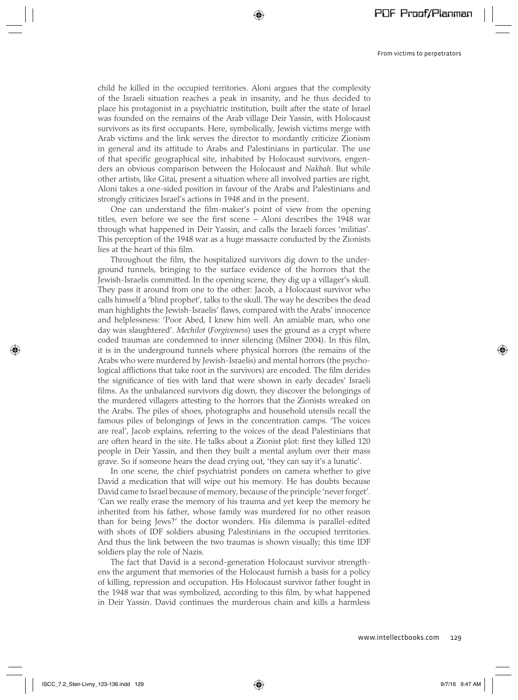child he killed in the occupied territories. Aloni argues that the complexity of the Israeli situation reaches a peak in insanity, and he thus decided to place his protagonist in a psychiatric institution, built after the state of Israel was founded on the remains of the Arab village Deir Yassin, with Holocaust survivors as its first occupants. Here, symbolically, Jewish victims merge with Arab victims and the link serves the director to mordantly criticize Zionism in general and its attitude to Arabs and Palestinians in particular. The use of that specific geographical site, inhabited by Holocaust survivors, engenders an obvious comparison between the Holocaust and *Nakbah*. But while other artists, like Gitai, present a situation where all involved parties are right, Aloni takes a one-sided position in favour of the Arabs and Palestinians and strongly criticizes Israel's actions in 1948 and in the present.

⊕

One can understand the film-maker's point of view from the opening titles, even before we see the first scene – Aloni describes the 1948 war through what happened in Deir Yassin, and calls the Israeli forces 'militias'. This perception of the 1948 war as a huge massacre conducted by the Zionists lies at the heart of this film.

Throughout the film, the hospitalized survivors dig down to the underground tunnels, bringing to the surface evidence of the horrors that the Jewish-Israelis committed. In the opening scene, they dig up a villager's skull. They pass it around from one to the other: Jacob, a Holocaust survivor who calls himself a 'blind prophet', talks to the skull. The way he describes the dead man highlights the Jewish-Israelis' flaws, compared with the Arabs' innocence and helplessness: 'Poor Abed, I knew him well. An amiable man, who one day was slaughtered'. *Mechilot* (*Forgiveness*) uses the ground as a crypt where coded traumas are condemned to inner silencing (Milner 2004). In this film, it is in the underground tunnels where physical horrors (the remains of the Arabs who were murdered by Jewish-Israelis) and mental horrors (the psychological afflictions that take root in the survivors) are encoded. The film derides the significance of ties with land that were shown in early decades' Israeli films. As the unbalanced survivors dig down, they discover the belongings of the murdered villagers attesting to the horrors that the Zionists wreaked on the Arabs. The piles of shoes, photographs and household utensils recall the famous piles of belongings of Jews in the concentration camps. 'The voices are real', Jacob explains, referring to the voices of the dead Palestinians that are often heard in the site. He talks about a Zionist plot: first they killed 120 people in Deir Yassin, and then they built a mental asylum over their mass grave. So if someone hears the dead crying out, 'they can say it's a lunatic'.

In one scene, the chief psychiatrist ponders on camera whether to give David a medication that will wipe out his memory. He has doubts because David came to Israel because of memory, because of the principle 'never forget'. 'Can we really erase the memory of his trauma and yet keep the memory he inherited from his father, whose family was murdered for no other reason than for being Jews?' the doctor wonders. His dilemma is parallel-edited with shots of IDF soldiers abusing Palestinians in the occupied territories. And thus the link between the two traumas is shown visually; this time IDF soldiers play the role of Nazis.

The fact that David is a second-generation Holocaust survivor strengthens the argument that memories of the Holocaust furnish a basis for a policy of killing, repression and occupation. His Holocaust survivor father fought in the 1948 war that was symbolized, according to this film, by what happened in Deir Yassin. David continues the murderous chain and kills a harmless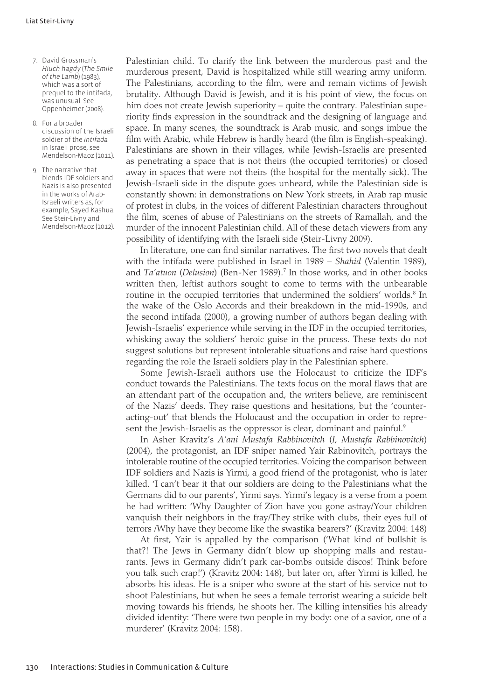- 7. David Grossman's *Hiuch hagdy* (*The Smile of the Lamb*) (1983), which was a sort of prequel to the intifada, was unusual. See Oppenheimer (2008).
- 8. For a broader discussion of the Israeli soldier of the *intifada*  in Israeli prose, see Mendelson-Maoz (2011).
- 9. The narrative that blends IDF soldiers and Nazis is also presented in the works of Arab-Israeli writers as, for example, Sayed Kashua. See Steir-Livny and Mendelson-Maoz (2012).

Palestinian child. To clarify the link between the murderous past and the murderous present, David is hospitalized while still wearing army uniform. The Palestinians, according to the film, were and remain victims of Jewish brutality. Although David is Jewish, and it is his point of view, the focus on him does not create Jewish superiority – quite the contrary. Palestinian superiority finds expression in the soundtrack and the designing of language and space. In many scenes, the soundtrack is Arab music, and songs imbue the film with Arabic, while Hebrew is hardly heard (the film is English-speaking). Palestinians are shown in their villages, while Jewish-Israelis are presented as penetrating a space that is not theirs (the occupied territories) or closed away in spaces that were not theirs (the hospital for the mentally sick). The Jewish-Israeli side in the dispute goes unheard, while the Palestinian side is constantly shown: in demonstrations on New York streets, in Arab rap music of protest in clubs, in the voices of different Palestinian characters throughout the film, scenes of abuse of Palestinians on the streets of Ramallah, and the murder of the innocent Palestinian child. All of these detach viewers from any possibility of identifying with the Israeli side (Steir-Livny 2009).

In literature, one can find similar narratives. The first two novels that dealt with the intifada were published in Israel in 1989 – *Shahid* (Valentin 1989), and *Ta'atuon* (*Delusion*) (Ben-Ner 1989).7 In those works, and in other books written then, leftist authors sought to come to terms with the unbearable routine in the occupied territories that undermined the soldiers' worlds.<sup>8</sup> In the wake of the Oslo Accords and their breakdown in the mid-1990s, and the second intifada (2000), a growing number of authors began dealing with Jewish-Israelis' experience while serving in the IDF in the occupied territories, whisking away the soldiers' heroic guise in the process. These texts do not suggest solutions but represent intolerable situations and raise hard questions regarding the role the Israeli soldiers play in the Palestinian sphere.

Some Jewish-Israeli authors use the Holocaust to criticize the IDF's conduct towards the Palestinians. The texts focus on the moral flaws that are an attendant part of the occupation and, the writers believe, are reminiscent of the Nazis' deeds. They raise questions and hesitations, but the 'counteracting-out' that blends the Holocaust and the occupation in order to represent the Jewish-Israelis as the oppressor is clear, dominant and painful.<sup>9</sup>

In Asher Kravitz's *A'ani Mustafa Rabbinovitch* (*I, Mustafa Rabbinovitch*) (2004), the protagonist, an IDF sniper named Yair Rabinovitch, portrays the intolerable routine of the occupied territories. Voicing the comparison between IDF soldiers and Nazis is Yirmi, a good friend of the protagonist, who is later killed. 'I can't bear it that our soldiers are doing to the Palestinians what the Germans did to our parents', Yirmi says. Yirmi's legacy is a verse from a poem he had written: 'Why Daughter of Zion have you gone astray/Your children vanquish their neighbors in the fray/They strike with clubs, their eyes full of terrors /Why have they become like the swastika bearers?' (Kravitz 2004: 148)

At first, Yair is appalled by the comparison ('What kind of bullshit is that?! The Jews in Germany didn't blow up shopping malls and restaurants. Jews in Germany didn't park car-bombs outside discos! Think before you talk such crap!') (Kravitz 2004: 148), but later on, after Yirmi is killed, he absorbs his ideas. He is a sniper who swore at the start of his service not to shoot Palestinians, but when he sees a female terrorist wearing a suicide belt moving towards his friends, he shoots her. The killing intensifies his already divided identity: 'There were two people in my body: one of a savior, one of a murderer' (Kravitz 2004: 158).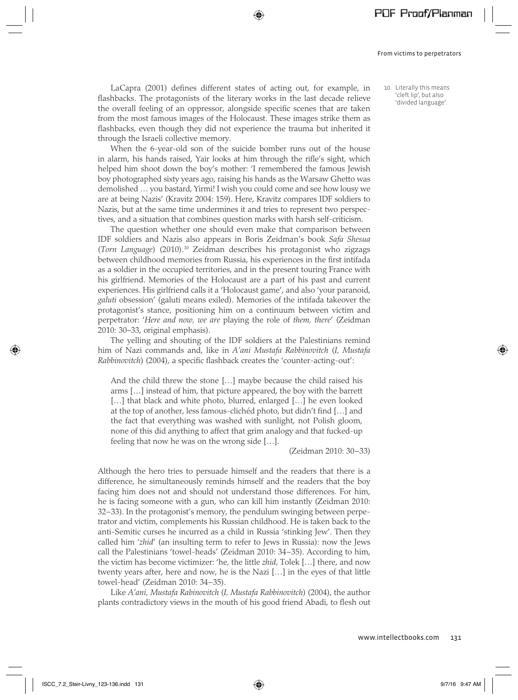LaCapra (2001) defines different states of acting out, for example, in flashbacks. The protagonists of the literary works in the last decade relieve the overall feeling of an oppressor, alongside specific scenes that are taken from the most famous images of the Holocaust. These images strike them as flashbacks, even though they did not experience the trauma but inherited it through the Israeli collective memory.

⊕

When the 6-year-old son of the suicide bomber runs out of the house in alarm, his hands raised, Yair looks at him through the rifle's sight, which helped him shoot down the boy's mother: 'I remembered the famous Jewish boy photographed sixty years ago, raising his hands as the Warsaw Ghetto was demolished … you bastard, Yirmi! I wish you could come and see how lousy we are at being Nazis' (Kravitz 2004: 159). Here, Kravitz compares IDF soldiers to Nazis, but at the same time undermines it and tries to represent two perspectives, and a situation that combines question marks with harsh self-criticism.

The question whether one should even make that comparison between IDF soldiers and Nazis also appears in Boris Zeidman's book *Safa Shesua*  (*Torn Language*) (2010).10 Zeidman describes his protagonist who zigzags between childhood memories from Russia, his experiences in the first intifada as a soldier in the occupied territories, and in the present touring France with his girlfriend. Memories of the Holocaust are a part of his past and current experiences. His girlfriend calls it a 'Holocaust game', and also 'your paranoid, *galuti* obsession' (galuti means exiled). Memories of the intifada takeover the protagonist's stance, positioning him on a continuum between victim and perpetrator: '*Here and now, we are* playing the role of *them, there*' (Zeidman 2010: 30–33, original emphasis).

The yelling and shouting of the IDF soldiers at the Palestinians remind him of Nazi commands and, like in *A'ani Mustafa Rabbinovitch* (*I, Mustafa Rabbinovitch*) (2004), a specific flashback creates the 'counter-acting-out':

And the child threw the stone […] maybe because the child raised his arms […] instead of him, that picture appeared, the boy with the barrett [...] that black and white photo, blurred, enlarged [...] he even looked at the top of another, less famous-clichéd photo, but didn't find […] and the fact that everything was washed with sunlight, not Polish gloom, none of this did anything to affect that grim analogy and that fucked-up feeling that now he was on the wrong side […].

#### (Zeidman 2010: 30−33)

Although the hero tries to persuade himself and the readers that there is a difference, he simultaneously reminds himself and the readers that the boy facing him does not and should not understand those differences. For him, he is facing someone with a gun, who can kill him instantly (Zeidman 2010: 32−33). In the protagonist's memory, the pendulum swinging between perpetrator and victim, complements his Russian childhood. He is taken back to the anti-Semitic curses he incurred as a child in Russia 'stinking Jew'. Then they called him '*zhid*' (an insulting term to refer to Jews in Russia): now the Jews call the Palestinians 'towel-heads' (Zeidman 2010: 34−35). According to him, the victim has become victimizer: 'he, the little *zhid*, Tolek […] there, and now twenty years after, here and now, he is the Nazi […] in the eyes of that little towel-head' (Zeidman 2010: 34−35).

Like *A'ani, Mustafa Rabinovitch* (*I, Mustafa Rabbinovitch*) (2004), the author plants contradictory views in the mouth of his good friend Abadi, to flesh out 10. Literally this means 'cleft lip', but also 'divided language'.

www.intellectbooks.com 131

ISCC\_7.2\_Steir-Livny\_123-136.indd 131 97/16 9:47 AM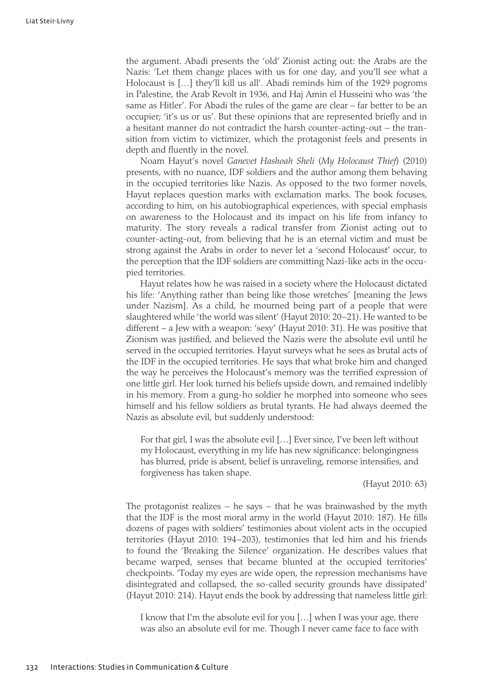the argument. Abadi presents the 'old' Zionist acting out: the Arabs are the Nazis: 'Let them change places with us for one day, and you'll see what a Holocaust is […] they'll kill us all'. Abadi reminds him of the 1929 pogroms in Palestine, the Arab Revolt in 1936, and Haj Amin el Husseini who was 'the same as Hitler'. For Abadi the rules of the game are clear – far better to be an occupier; 'it's us or us'. But these opinions that are represented briefly and in a hesitant manner do not contradict the harsh counter-acting-out − the transition from victim to victimizer, which the protagonist feels and presents in depth and fluently in the novel.

Noam Hayut's novel *Ganevet Hashoah Sheli* (*My Holocaust Thief*) (2010) presents, with no nuance, IDF soldiers and the author among them behaving in the occupied territories like Nazis. As opposed to the two former novels, Hayut replaces question marks with exclamation marks. The book focuses, according to him, on his autobiographical experiences, with special emphasis on awareness to the Holocaust and its impact on his life from infancy to maturity. The story reveals a radical transfer from Zionist acting out to counter-acting-out, from believing that he is an eternal victim and must be strong against the Arabs in order to never let a 'second Holocaust' occur, to the perception that the IDF soldiers are committing Nazi-like acts in the occupied territories.

Hayut relates how he was raised in a society where the Holocaust dictated his life: 'Anything rather than being like those wretches' [meaning the Jews under Nazism]. As a child, he mourned being part of a people that were slaughtered while 'the world was silent' (Hayut 2010: 20−21). He wanted to be different – a Jew with a weapon: 'sexy' (Hayut 2010: 31). He was positive that Zionism was justified, and believed the Nazis were the absolute evil until he served in the occupied territories. Hayut surveys what he sees as brutal acts of the IDF in the occupied territories. He says that what broke him and changed the way he perceives the Holocaust's memory was the terrified expression of one little girl. Her look turned his beliefs upside down, and remained indelibly in his memory. From a gung-ho soldier he morphed into someone who sees himself and his fellow soldiers as brutal tyrants. He had always deemed the Nazis as absolute evil, but suddenly understood:

For that girl, I was the absolute evil […] Ever since, I've been left without my Holocaust, everything in my life has new significance: belongingness has blurred, pride is absent, belief is unraveling, remorse intensifies, and forgiveness has taken shape.

(Hayut 2010: 63)

The protagonist realizes − he says − that he was brainwashed by the myth that the IDF is the most moral army in the world (Hayut 2010: 187). He fills dozens of pages with soldiers' testimonies about violent acts in the occupied territories (Hayut 2010: 194−203), testimonies that led him and his friends to found the 'Breaking the Silence' organization. He describes values that became warped, senses that became blunted at the occupied territories' checkpoints. 'Today my eyes are wide open, the repression mechanisms have disintegrated and collapsed, the so-called security grounds have dissipated' (Hayut 2010: 214). Hayut ends the book by addressing that nameless little girl:

I know that I'm the absolute evil for you […] when I was your age, there was also an absolute evil for me. Though I never came face to face with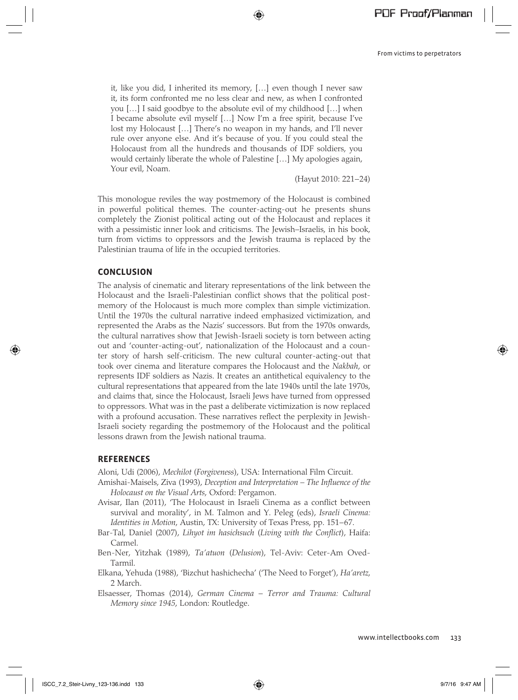it, like you did, I inherited its memory, […] even though I never saw it, its form confronted me no less clear and new, as when I confronted you […] I said goodbye to the absolute evil of my childhood […] when I became absolute evil myself […] Now I'm a free spirit, because I've lost my Holocaust […] There's no weapon in my hands, and I'll never rule over anyone else. And it's because of you. If you could steal the Holocaust from all the hundreds and thousands of IDF soldiers, you would certainly liberate the whole of Palestine […] My apologies again, Your evil, Noam.

(Hayut 2010: 221−24)

This monologue reviles the way postmemory of the Holocaust is combined in powerful political themes. The counter-acting-out he presents shuns completely the Zionist political acting out of the Holocaust and replaces it with a pessimistic inner look and criticisms. The Jewish–Israelis, in his book, turn from victims to oppressors and the Jewish trauma is replaced by the Palestinian trauma of life in the occupied territories.

## **CONCLUSION**

The analysis of cinematic and literary representations of the link between the Holocaust and the Israeli-Palestinian conflict shows that the political postmemory of the Holocaust is much more complex than simple victimization. Until the 1970s the cultural narrative indeed emphasized victimization, and represented the Arabs as the Nazis' successors. But from the 1970s onwards, the cultural narratives show that Jewish-Israeli society is torn between acting out and 'counter-acting-out', nationalization of the Holocaust and a counter story of harsh self-criticism. The new cultural counter-acting-out that took over cinema and literature compares the Holocaust and the *Nakbah*, or represents IDF soldiers as Nazis. It creates an antithetical equivalency to the cultural representations that appeared from the late 1940s until the late 1970s, and claims that, since the Holocaust, Israeli Jews have turned from oppressed to oppressors. What was in the past a deliberate victimization is now replaced with a profound accusation. These narratives reflect the perplexity in Jewish-Israeli society regarding the postmemory of the Holocaust and the political lessons drawn from the Jewish national trauma.

### **REFERENCES**

Aloni, Udi (2006), *Mechilot* (*Forgiveness*), USA: International Film Circuit.

- Amishai-Maisels, Ziva (1993), *Deception and Interpretation The Influence of the Holocaust on the Visual Arts*, Oxford: Pergamon.
- Avisar, Ilan (2011), 'The Holocaust in Israeli Cinema as a conflict between survival and morality', in M. Talmon and Y. Peleg (eds), *Israeli Cinema: Identities in Motion*, Austin, TX: University of Texas Press, pp. 151−67.
- Bar-Tal, Daniel (2007), *Lihyot im hasichsuch* (*Living with the Conflict*), Haifa: Carmel.
- Ben-Ner, Yitzhak (1989), *Ta'atuon* (*Delusion*), Tel-Aviv: Ceter-Am Oved-Tarmil.
- Elkana, Yehuda (1988), 'Bizchut hashichecha' ('The Need to Forget'), *Ha'aretz*, 2 March.
- Elsaesser, Thomas (2014), *German Cinema* − *Terror and Trauma: Cultural Memory since 1945*, London: Routledge.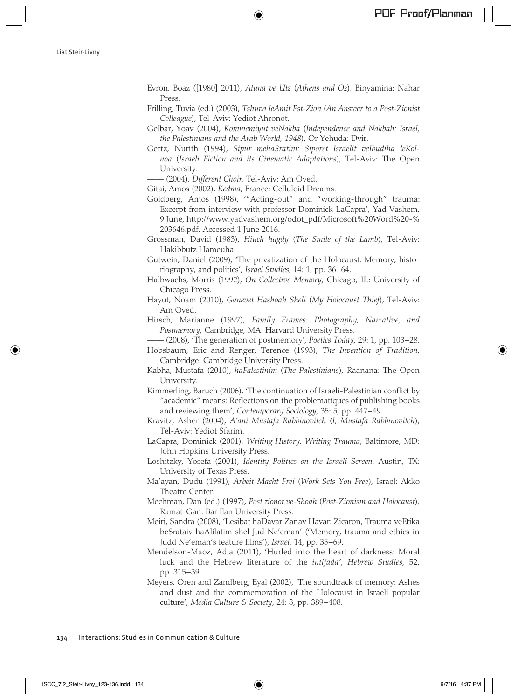Evron, Boaz ([1980] 2011), *Atuna ve Utz* (*Athens and Oz*), Binyamina: Nahar Press.

⊕

- Frilling, Tuvia (ed.) (2003), *Tshuva leAmit Pst-Zion* (*An Answer to a Post-Zionist Colleague*), Tel-Aviv: Yediot Ahronot.
- Gelbar, Yoav (2004), *Kommemiyut veNakba* (*Independence and Nakbah: Israel, the Palestinians and the Arab World, 1948*), Or Yehuda: Dvir.
- Gertz, Nurith (1994), *Sipur mehaSratim: Siporet Israelit veIbudiha leKolnoa* (*Israeli Fiction and its Cinematic Adaptations*), Tel-Aviv: The Open University.

—— (2004), *Different Choir*, Tel-Aviv: Am Oved.

Gitai, Amos (2002), *Kedma*, France: Celluloid Dreams.

- Goldberg, Amos (1998), '"Acting-out" and "working-through" trauma: Excerpt from interview with professor Dominick LaCapra', Yad Vashem, 9 June, http://www.yadvashem.org/odot\_pdf/Microsoft%20Word%20-% 203646.pdf. Accessed 1 June 2016.
- Grossman, David (1983), *Hiuch hagdy* (*The Smile of the Lamb*), Tel-Aviv: Hakibbutz Hameuha.
- Gutwein, Daniel (2009), 'The privatization of the Holocaust: Memory, historiography, and politics', *Israel Studies*, 14: 1, pp. 36−64.
- Halbwachs, Morris (1992), *On Collective Memory*, Chicago, IL: University of Chicago Press.
- Hayut, Noam (2010), *Ganevet Hashoah Sheli* (*My Holocaust Thief*), Tel-Aviv: Am Oved.

Hirsch, Marianne (1997), *Family Frames: Photography, Narrative, and Postmemory*, Cambridge, MA: Harvard University Press.

—— (2008), 'The generation of postmemory', *Poetics Today*, 29: 1, pp. 103−28.

Hobsbaum, Eric and Renger, Terence (1993), *The Invention of Tradition*, Cambridge: Cambridge University Press.

- Kabha, Mustafa (2010), *haFalestinim* (*The Palestinians*), Raanana: The Open University.
- Kimmerling, Baruch (2006), 'The continuation of Israeli-Palestinian conflict by "academic" means: Reflections on the problematiques of publishing books and reviewing them', *Contemporary Sociology*, 35: 5, pp. 447−49.
- Kravitz, Asher (2004), *A'ani Mustafa Rabbinovitch* (*I, Mustafa Rabbinovitch*), Tel-Aviv: Yediot Sfarim.
- LaCapra, Dominick (2001), *Writing History, Writing Trauma*, Baltimore, MD: John Hopkins University Press.
- Loshitzky, Yosefa (2001), *Identity Politics on the Israeli Screen*, Austin, TX: University of Texas Press.
- Ma'ayan, Dudu (1991), *Arbeit Macht Frei* (*Work Sets You Free*), Israel: Akko Theatre Center.
- Mechman, Dan (ed.) (1997), *Post zionot ve-Shoah* (*Post-Zionism and Holocaust*), Ramat-Gan: Bar Ilan University Press.
- Meiri, Sandra (2008), 'Lesibat haDavar Zanav Havar: Zicaron, Trauma veEtika beSrataiv haAlilatim shel Jud Ne'eman' ('Memory, trauma and ethics in Judd Ne'eman's feature films'), *Israel*, 14, pp. 35−69.
- Mendelson-Maoz, Adia (2011), 'Hurled into the heart of darkness: Moral luck and the Hebrew literature of the *intifada'*, *Hebrew Studies*, 52, pp. 315−39.
- Meyers, Oren and Zandberg, Eyal (2002), 'The soundtrack of memory: Ashes and dust and the commemoration of the Holocaust in Israeli popular culture', *Media Culture & Society*, 24: 3, pp. 389−408.

134 Interactions: Studies in Communication & Culture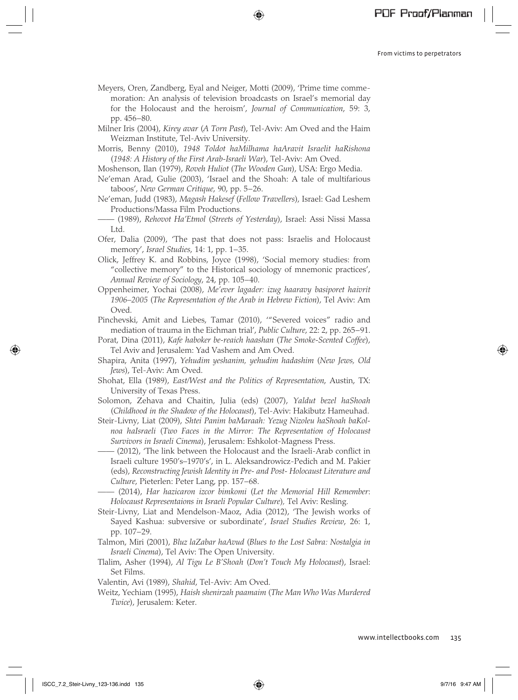Meyers, Oren, Zandberg, Eyal and Neiger, Motti (2009), 'Prime time commemoration: An analysis of television broadcasts on Israel's memorial day for the Holocaust and the heroism', *Journal of Communication*, 59: 3, pp. 456−80.

⊕

- Milner Iris (2004), *Kirey avar* (*A Torn Past*), Tel-Aviv: Am Oved and the Haim Weizman Institute, Tel-Aviv University.
- Morris, Benny (2010), *1948 Toldot haMilhama haAravit Israelit haRishona*  (*1948: A History of the First Arab-Israeli War*), Tel-Aviv: Am Oved.
- Moshenson, Ilan (1979), *Roveh Huliot* (*The Wooden Gun*), USA: Ergo Media.
- Ne'eman Arad, Gulie (2003), 'Israel and the Shoah: A tale of multifarious taboos', *New German Critique*, 90, pp. 5−26.
- Ne'eman, Judd (1983), *Magash Hakesef* (*Fellow Travellers*), Israel: Gad Leshem Productions/Massa Film Productions.
- —— (1989), *Rehovot Ha'Etmol* (*Streets of Yesterday*), Israel: Assi Nissi Massa Ltd.
- Ofer, Dalia (2009), 'The past that does not pass: Israelis and Holocaust memory', *Israel Studies*, 14: 1, pp. 1−35.
- Olick, Jeffrey K. and Robbins, Joyce (1998), 'Social memory studies: from "collective memory" to the Historical sociology of mnemonic practices', *Annual Review of Sociology*, 24, pp. 105−40.
- Oppenheimer, Yochai (2008), *Me'ever lagader: izug haaravy basiporet haivrit 1906–2005* (*The Representation of the Arab in Hebrew Fiction*), Tel Aviv: Am Oved.
- Pinchevski, Amit and Liebes, Tamar (2010), '"Severed voices" radio and mediation of trauma in the Eichman trial', *Public Culture*, 22: 2, pp. 265−91.
- Porat, Dina (2011), *Kafe haboker be-reaich haashan* (*The Smoke-Scented Coffee*), Tel Aviv and Jerusalem: Yad Vashem and Am Oved.
- Shapira, Anita (1997), *Yehudim yeshanim, yehudim hadashim* (*New Jews, Old Jews*), Tel-Aviv: Am Oved.
- Shohat, Ella (1989), *East/West and the Politics of Representation*, Austin, TX: University of Texas Press.
- Solomon, Zehava and Chaitin, Julia (eds) (2007), *Yaldut bezel haShoah*  (*Childhood in the Shadow of the Holocaust*), Tel-Aviv: Hakibutz Hameuhad.
- Steir-Livny, Liat (2009), *Shtei Panim baMaraah: Yezug Nizoleu haShoah baKolnoa haIsraeli* (*Two Faces in the Mirror: The Representation of Holocaust Survivors in Israeli Cinema*), Jerusalem: Eshkolot-Magness Press.
- —— (2012), 'The link between the Holocaust and the Israeli-Arab conflict in Israeli culture 1950's–1970's', in L. Aleksandrowicz-Pedich and M. Pakier (eds), *Reconstructing Jewish Identity in Pre- and Post- Holocaust Literature and Culture*, Pieterlen: Peter Lang, pp. 157−68.
- —— (2014), *Har hazicaron izcor bimkomi* (*Let the Memorial Hill Remember*: *Holocaust Representaions in Israeli Popular Culture*)*,* Tel Aviv: Resling.
- Steir-Livny, Liat and Mendelson-Maoz, Adia (2012), 'The Jewish works of Sayed Kashua: subversive or subordinate', *Israel Studies Review*, 26: 1, pp. 107−29.
- Talmon, Miri (2001), *Bluz laZabar haAvud* (*Blues to the Lost Sabra: Nostalgia in Israeli Cinema*), Tel Aviv: The Open University.
- Tlalim, Asher (1994), *Al Tigu Le B'Shoah* (*Don't Touch My Holocaust*), Israel: Set Films.
- Valentin, Avi (1989), *Shahid*, Tel-Aviv: Am Oved.
- Weitz, Yechiam (1995), *Haish shenirzah paamaim* (*The Man Who Was Murdered Twice*), Jerusalem: Keter.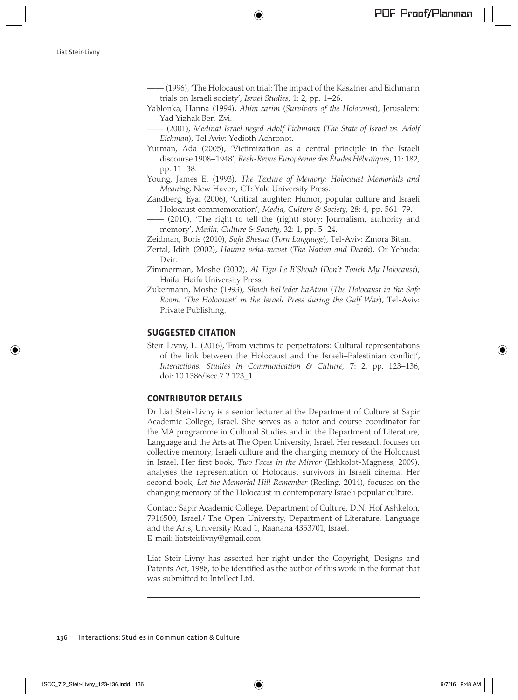Liat Steir-Livny

—— (1996), 'The Holocaust on trial: The impact of the Kasztner and Eichmann trials on Israeli society', *Israel Studies*, 1: 2, pp. 1−26.

⊕

- Yablonka, Hanna (1994), *Ahim zarim* (*Survivors of the Holocaust*), Jerusalem: Yad Yizhak Ben-Zvi.
- —— (2001), *Medinat Israel neged Adolf Eichmann* (*The State of Israel vs. Adolf Eichman*), Tel Aviv: Yedioth Achronot.
- Yurman, Ada (2005), 'Victimization as a central principle in the Israeli discourse 1908−1948', *Reeh-Revue Européenne des Études Hébraïques*, 11: 182, pp. 11−38.
- Young, James E. (1993), *The Texture of Memory: Holocaust Memorials and Meaning*, New Haven, CT: Yale University Press.
- Zandberg, Eyal (2006), 'Critical laughter: Humor, popular culture and Israeli Holocaust commemoration', *Media, Culture & Society*, 28: 4, pp. 561−79.
	- (2010), 'The right to tell the (right) story: Journalism, authority and memory', *Media, Culture & Society*, 32: 1, pp. 5−24.

Zeidman, Boris (2010), *Safa Shesua* (*Torn Language*), Tel-Aviv: Zmora Bitan.

- Zertal, Idith (2002), *Hauma veha-mavet* (*The Nation and Death*), Or Yehuda: Dvir.
- Zimmerman, Moshe (2002), *Al Tigu Le B'Shoah* (*Don't Touch My Holocaust*), Haifa: Haifa University Press.
- Zukermann, Moshe (1993), *Shoah baHeder haAtum* (*The Holocaust in the Safe Room: 'The Holocaust' in the Israeli Press during the Gulf War*), Tel-Aviv: Private Publishing.

# **SUGGESTED CITATION**

Steir-Livny, L. (2016), 'From victims to perpetrators: Cultural representations of the link between the Holocaust and the Israeli–Palestinian conflict', *Interactions: Studies in Communication & Culture,* 7: 2, pp. 123–136, doi: 10.1386/iscc.7.2.123\_1

## **CONTRIBUTOR DETAILS**

Dr Liat Steir-Livny is a senior lecturer at the Department of Culture at Sapir Academic College, Israel. She serves as a tutor and course coordinator for the MA programme in Cultural Studies and in the Department of Literature, Language and the Arts at The Open University, Israel. Her research focuses on collective memory, Israeli culture and the changing memory of the Holocaust in Israel. Her first book, *Two Faces in the Mirror* (Eshkolot-Magness, 2009), analyses the representation of Holocaust survivors in Israeli cinema. Her second book, *Let the Memorial Hill Remember* (Resling, 2014), focuses on the changing memory of the Holocaust in contemporary Israeli popular culture.

Contact: Sapir Academic College, Department of Culture, D.N. Hof Ashkelon, 7916500, Israel./ The Open University, Department of Literature, Language and the Arts, University Road 1, Raanana 4353701, Israel. E-mail: liatsteirlivny@gmail.com

Liat Steir-Livny has asserted her right under the Copyright, Designs and Patents Act, 1988, to be identified as the author of this work in the format that was submitted to Intellect Ltd.